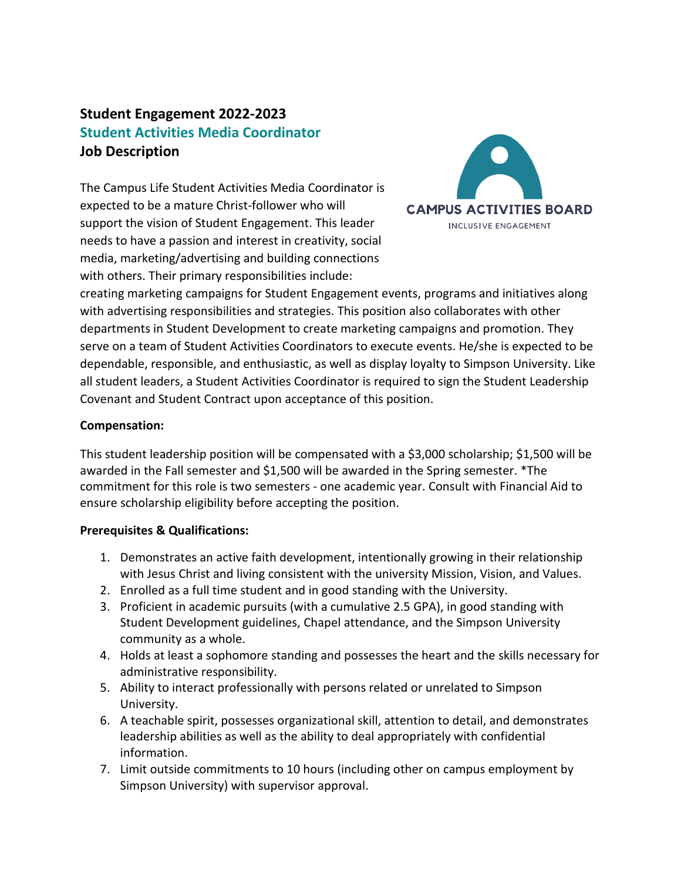# **Student Engagement 2022-2023 Student Activities Media Coordinator Job Description**

The Campus Life Student Activities Media Coordinator is expected to be a mature Christ-follower who will support the vision of Student Engagement. This leader needs to have a passion and interest in creativity, social media, marketing/advertising and building connections with others. Their primary responsibilities include:



creating marketing campaigns for Student Engagement events, programs and initiatives along with advertising responsibilities and strategies. This position also collaborates with other departments in Student Development to create marketing campaigns and promotion. They serve on a team of Student Activities Coordinators to execute events. He/she is expected to be dependable, responsible, and enthusiastic, as well as display loyalty to Simpson University. Like all student leaders, a Student Activities Coordinator is required to sign the Student Leadership Covenant and Student Contract upon acceptance of this position.

## **Compensation:**

This student leadership position will be compensated with a \$3,000 scholarship; \$1,500 will be awarded in the Fall semester and \$1,500 will be awarded in the Spring semester. \*The commitment for this role is two semesters - one academic year. Consult with Financial Aid to ensure scholarship eligibility before accepting the position.

### **Prerequisites & Qualifications:**

- 1. Demonstrates an active faith development, intentionally growing in their relationship with Jesus Christ and living consistent with the university Mission, Vision, and Values.
- 2. Enrolled as a full time student and in good standing with the University.
- 3. Proficient in academic pursuits (with a cumulative 2.5 GPA), in good standing with Student Development guidelines, Chapel attendance, and the Simpson University community as a whole.
- 4. Holds at least a sophomore standing and possesses the heart and the skills necessary for administrative responsibility.
- 5. Ability to interact professionally with persons related or unrelated to Simpson University.
- 6. A teachable spirit, possesses organizational skill, attention to detail, and demonstrates leadership abilities as well as the ability to deal appropriately with confidential information.
- 7. Limit outside commitments to 10 hours (including other on campus employment by Simpson University) with supervisor approval.